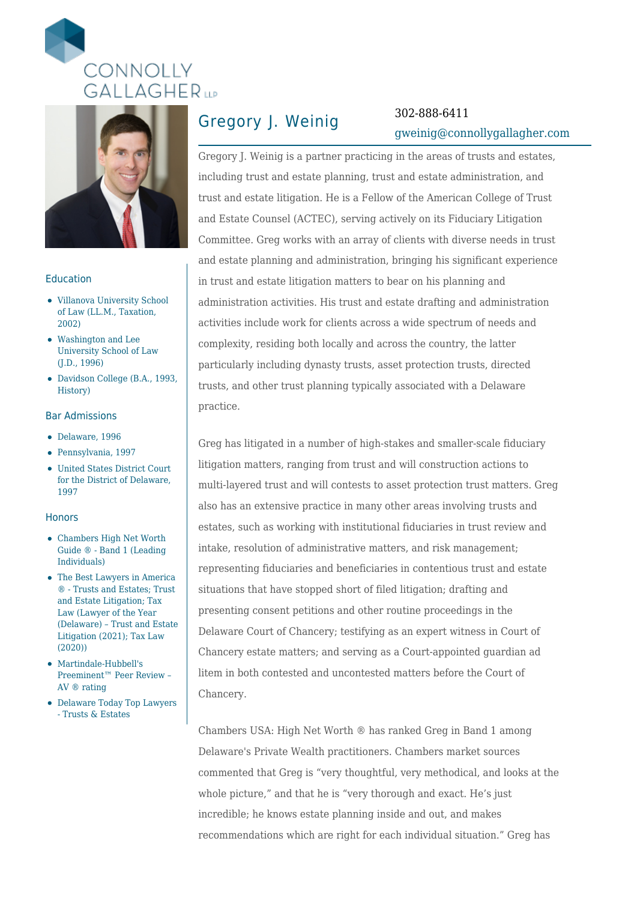



### Education

- Villanova University School of Law (LL.M., Taxation, 2002)
- Washington and Lee University School of Law (J.D., 1996)
- Davidson College (B.A., 1993, History)

### Bar Admissions

- Delaware, 1996
- Pennsylvania, 1997
- United States District Court for the District of Delaware, 1997

#### **Honors**

- Chambers High Net Worth Guide ® - Band 1 (Leading Individuals)
- The Best Lawyers in America ® - Trusts and Estates; Trust and Estate Litigation; Tax Law (Lawyer of the Year (Delaware) – Trust and Estate Litigation (2021); Tax Law (2020))
- Martindale-Hubbell's Preeminent™ Peer Review – AV ® rating
- Delaware Today Top Lawyers - Trusts & Estates

## Gregory J. Weinig 302-888-6411

# [gweinig@connollygallagher.com](mailto:gweinig@connollygallagher.com)

Gregory J. Weinig is a partner practicing in the areas of trusts and estates, including trust and estate planning, trust and estate administration, and trust and estate litigation. He is a Fellow of the American College of Trust and Estate Counsel (ACTEC), serving actively on its Fiduciary Litigation Committee. Greg works with an array of clients with diverse needs in trust and estate planning and administration, bringing his significant experience in trust and estate litigation matters to bear on his planning and administration activities. His trust and estate drafting and administration activities include work for clients across a wide spectrum of needs and complexity, residing both locally and across the country, the latter particularly including dynasty trusts, asset protection trusts, directed trusts, and other trust planning typically associated with a Delaware practice.

Greg has litigated in a number of high-stakes and smaller-scale fiduciary litigation matters, ranging from trust and will construction actions to multi-layered trust and will contests to asset protection trust matters. Greg also has an extensive practice in many other areas involving trusts and estates, such as working with institutional fiduciaries in trust review and intake, resolution of administrative matters, and risk management; representing fiduciaries and beneficiaries in contentious trust and estate situations that have stopped short of filed litigation; drafting and presenting consent petitions and other routine proceedings in the Delaware Court of Chancery; testifying as an expert witness in Court of Chancery estate matters; and serving as a Court-appointed guardian ad litem in both contested and uncontested matters before the Court of Chancery.

Chambers USA: High Net Worth ® has ranked Greg in Band 1 among Delaware's Private Wealth practitioners. Chambers market sources commented that Greg is "very thoughtful, very methodical, and looks at the whole picture," and that he is "very thorough and exact. He's just incredible; he knows estate planning inside and out, and makes recommendations which are right for each individual situation." Greg has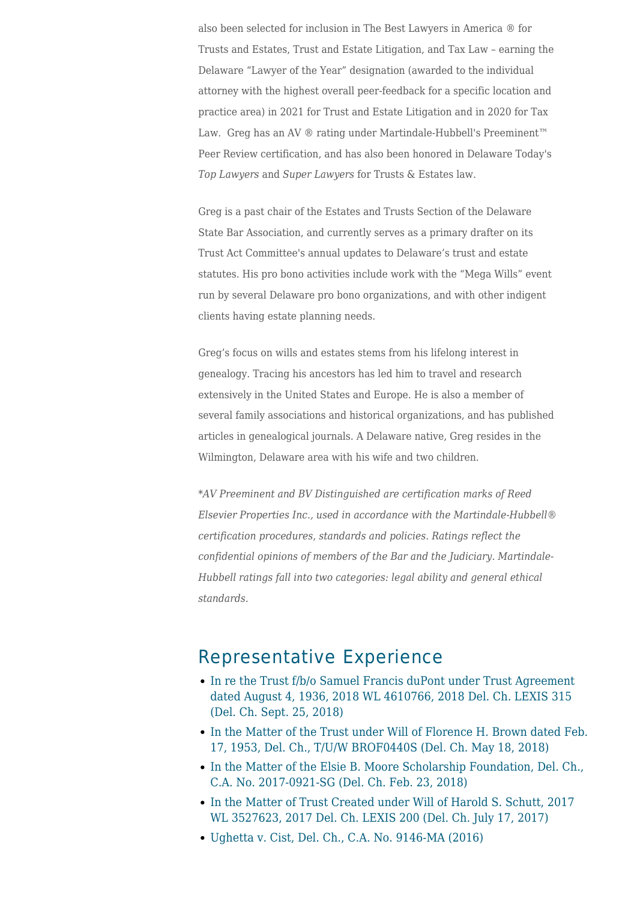also been selected for inclusion in The Best Lawyers in America ® for Trusts and Estates, Trust and Estate Litigation, and Tax Law – earning the Delaware "Lawyer of the Year" designation (awarded to the individual attorney with the highest overall peer-feedback for a specific location and practice area) in 2021 for Trust and Estate Litigation and in 2020 for Tax Law. Greg has an AV ® rating under Martindale-Hubbell's Preeminent™ Peer Review certification, and has also been honored in Delaware Today's *Top Lawyers* and *Super Lawyers* for Trusts & Estates law.

Greg is a past chair of the Estates and Trusts Section of the Delaware State Bar Association, and currently serves as a primary drafter on its Trust Act Committee's annual updates to Delaware's trust and estate statutes. His pro bono activities include work with the "Mega Wills" event run by several Delaware pro bono organizations, and with other indigent clients having estate planning needs.

Greg's focus on wills and estates stems from his lifelong interest in genealogy. Tracing his ancestors has led him to travel and research extensively in the United States and Europe. He is also a member of several family associations and historical organizations, and has published articles in genealogical journals. A Delaware native, Greg resides in the Wilmington, Delaware area with his wife and two children.

*\*AV Preeminent and BV Distinguished are certification marks of Reed Elsevier Properties Inc., used in accordance with the Martindale-Hubbell® certification procedures, standards and policies. Ratings reflect the confidential opinions of members of the Bar and the Judiciary. Martindale-Hubbell ratings fall into two categories: legal ability and general ethical standards.*

### Representative Experience

- [In re the Trust f/b/o Samuel Francis duPont under Trust Agreement](https://www.connollygallagher.com/cases/in-re-the-trust-f-b-o-samuel-francis-dupont-under-trust-agreement-dated-august-4-1936-2018-wl-4610766-2018-del-ch-lexis-315-del-ch-sept-25-2018/) [dated August 4, 1936, 2018 WL 4610766, 2018 Del. Ch. LEXIS 315](https://www.connollygallagher.com/cases/in-re-the-trust-f-b-o-samuel-francis-dupont-under-trust-agreement-dated-august-4-1936-2018-wl-4610766-2018-del-ch-lexis-315-del-ch-sept-25-2018/) [\(Del. Ch. Sept. 25, 2018\)](https://www.connollygallagher.com/cases/in-re-the-trust-f-b-o-samuel-francis-dupont-under-trust-agreement-dated-august-4-1936-2018-wl-4610766-2018-del-ch-lexis-315-del-ch-sept-25-2018/)
- [In the Matter of the Trust under Will of Florence H. Brown dated Feb.](https://www.connollygallagher.com/cases/in-the-matter-of-the-trust-under-will-of-florence-h-brown-dated-feb-17-1953-del-ch-t-u-w-brof0440s-del-ch-may-18-2018/) [17, 1953, Del. Ch., T/U/W BROF0440S \(Del. Ch. May 18, 2018\)](https://www.connollygallagher.com/cases/in-the-matter-of-the-trust-under-will-of-florence-h-brown-dated-feb-17-1953-del-ch-t-u-w-brof0440s-del-ch-may-18-2018/)
- [In the Matter of the Elsie B. Moore Scholarship Foundation, Del. Ch.,](https://www.connollygallagher.com/cases/in-the-matter-of-the-elsie-b-moore-scholarship-foundation-del-ch-c-a-no-2017-0921-sg-del-ch-feb-23-2018/) [C.A. No. 2017-0921-SG \(Del. Ch. Feb. 23, 2018\)](https://www.connollygallagher.com/cases/in-the-matter-of-the-elsie-b-moore-scholarship-foundation-del-ch-c-a-no-2017-0921-sg-del-ch-feb-23-2018/)
- [In the Matter of Trust Created under Will of Harold S. Schutt, 2017](https://www.connollygallagher.com/cases/in-the-matter-of-trust-created-under-will-of-harold-s-schutt-2017-wl-3527623-2017-del-ch-lexis-200-del-ch-july-17-2017/) [WL 3527623, 2017 Del. Ch. LEXIS 200 \(Del. Ch. July 17, 2017\)](https://www.connollygallagher.com/cases/in-the-matter-of-trust-created-under-will-of-harold-s-schutt-2017-wl-3527623-2017-del-ch-lexis-200-del-ch-july-17-2017/)
- [Ughetta v. Cist, Del. Ch., C.A. No. 9146-MA \(2016\)](https://www.connollygallagher.com/cases/ughetta-v-cist-del-ch-c-a-no-9146-ma-2016/)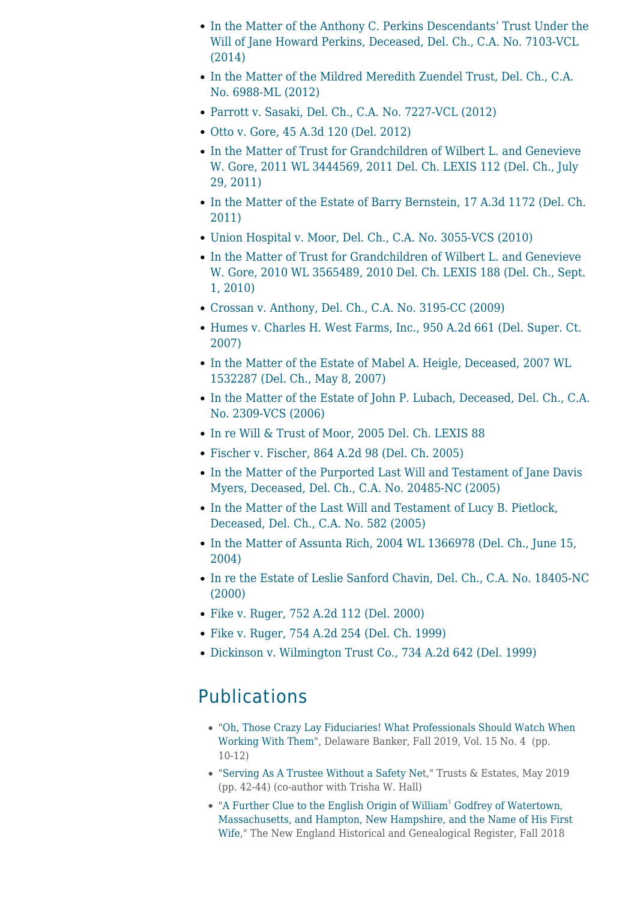- [In the Matter of the Anthony C. Perkins Descendants' Trust Under the](https://www.connollygallagher.com/cases/in-the-matter-of-the-anthony-c-perkins-descendants-trust-under-the-will-of-jane-howard-perkins-deceased-del-ch-c-a-no-7103-vcl/) [Will of Jane Howard Perkins, Deceased, Del. Ch., C.A. No. 7103-VCL](https://www.connollygallagher.com/cases/in-the-matter-of-the-anthony-c-perkins-descendants-trust-under-the-will-of-jane-howard-perkins-deceased-del-ch-c-a-no-7103-vcl/) [\(2014\)](https://www.connollygallagher.com/cases/in-the-matter-of-the-anthony-c-perkins-descendants-trust-under-the-will-of-jane-howard-perkins-deceased-del-ch-c-a-no-7103-vcl/)
- [In the Matter of the Mildred Meredith Zuendel Trust, Del. Ch., C.A.](https://www.connollygallagher.com/cases/in-the-matter-of-the-mildred-meredith-zuendel-trust-del-ch-c-a-no-6988-ml/) [No. 6988-ML \(2012\)](https://www.connollygallagher.com/cases/in-the-matter-of-the-mildred-meredith-zuendel-trust-del-ch-c-a-no-6988-ml/)
- [Parrott v. Sasaki, Del. Ch., C.A. No. 7227-VCL \(2012\)](https://www.connollygallagher.com/cases/parrott-v-sasaki-del-ch-c-a-no-7227-vcl/)
- [Otto v. Gore, 45 A.3d 120 \(Del. 2012\)](https://www.connollygallagher.com/cases/otto-v-gore-45-a-3d-120-del-2012-2/)
- [In the Matter of Trust for Grandchildren of Wilbert L. and Genevieve](https://www.connollygallagher.com/cases/in-the-matter-of-trust-for-grandchildren-of-wilbert-l-and-genevieve-w-gore-2011-wl-3444569-2011-del-ch-lexis-112-del-ch-july-29-2011/) [W. Gore, 2011 WL 3444569, 2011 Del. Ch. LEXIS 112 \(Del. Ch., July](https://www.connollygallagher.com/cases/in-the-matter-of-trust-for-grandchildren-of-wilbert-l-and-genevieve-w-gore-2011-wl-3444569-2011-del-ch-lexis-112-del-ch-july-29-2011/) [29, 2011\)](https://www.connollygallagher.com/cases/in-the-matter-of-trust-for-grandchildren-of-wilbert-l-and-genevieve-w-gore-2011-wl-3444569-2011-del-ch-lexis-112-del-ch-july-29-2011/)
- [In the Matter of the Estate of Barry Bernstein, 17 A.3d 1172 \(Del. Ch.](https://www.connollygallagher.com/cases/in-the-matter-of-the-estate-of-barry-bernstein-17-a-3d-1172-del-ch-2011/) [2011\)](https://www.connollygallagher.com/cases/in-the-matter-of-the-estate-of-barry-bernstein-17-a-3d-1172-del-ch-2011/)
- [Union Hospital v. Moor, Del. Ch., C.A. No. 3055-VCS \(2010\)](https://www.connollygallagher.com/cases/union-hospital-v-moor-del-ch-c-a-no-3055-vcs/)
- [In the Matter of Trust for Grandchildren of Wilbert L. and Genevieve](https://www.connollygallagher.com/cases/in-the-matter-of-trust-for-grandchildren-of-wilbert-l-and-genevieve-w-gore-2010-wl-3565489-2010-del-ch-lexis-188-del-ch-sept-1-2010/) [W. Gore, 2010 WL 3565489, 2010 Del. Ch. LEXIS 188 \(Del. Ch., Sept.](https://www.connollygallagher.com/cases/in-the-matter-of-trust-for-grandchildren-of-wilbert-l-and-genevieve-w-gore-2010-wl-3565489-2010-del-ch-lexis-188-del-ch-sept-1-2010/) [1, 2010\)](https://www.connollygallagher.com/cases/in-the-matter-of-trust-for-grandchildren-of-wilbert-l-and-genevieve-w-gore-2010-wl-3565489-2010-del-ch-lexis-188-del-ch-sept-1-2010/)
- [Crossan v. Anthony, Del. Ch., C.A. No. 3195-CC \(2009\)](https://www.connollygallagher.com/cases/crossan-v-anthony-del-ch-c-a-no-3195-cc/)
- [Humes v. Charles H. West Farms, Inc., 950 A.2d 661 \(Del. Super. Ct.](https://www.connollygallagher.com/cases/humes-v-charles-h-west-farms-inc-950-a-2d-661-del-super-ct-2007/) [2007\)](https://www.connollygallagher.com/cases/humes-v-charles-h-west-farms-inc-950-a-2d-661-del-super-ct-2007/)
- [In the Matter of the Estate of Mabel A. Heigle, Deceased, 2007 WL](https://www.connollygallagher.com/cases/in-the-matter-of-the-estate-of-mabel-a-heigle-deceased-2007-wl-1532287-del-ch-may-8-2007/) [1532287 \(Del. Ch., May 8, 2007\)](https://www.connollygallagher.com/cases/in-the-matter-of-the-estate-of-mabel-a-heigle-deceased-2007-wl-1532287-del-ch-may-8-2007/)
- [In the Matter of the Estate of John P. Lubach, Deceased, Del. Ch., C.A.](https://www.connollygallagher.com/cases/in-the-matter-of-the-estate-of-john-p-lubach-deceased-del-ch-c-a-no-2309-vcs/) [No. 2309-VCS \(2006\)](https://www.connollygallagher.com/cases/in-the-matter-of-the-estate-of-john-p-lubach-deceased-del-ch-c-a-no-2309-vcs/)
- [In re Will & Trust of Moor, 2005 Del. Ch. LEXIS 88](https://www.connollygallagher.com/cases/in-re-will-trust-of-moor-2005-del-ch-lexis-88/)
- [Fischer v. Fischer, 864 A.2d 98 \(Del. Ch. 2005\)](https://www.connollygallagher.com/cases/fischer-v-fischer-864-a-2d-98-del-ch-2005/)
- [In the Matter of the Purported Last Will and Testament of Jane Davis](https://www.connollygallagher.com/cases/in-the-matter-of-the-purported-last-will-and-testament-of-jane-davis-myers-deceased-del-ch-c-a-no-20485-nc/) [Myers, Deceased, Del. Ch., C.A. No. 20485-NC \(2005\)](https://www.connollygallagher.com/cases/in-the-matter-of-the-purported-last-will-and-testament-of-jane-davis-myers-deceased-del-ch-c-a-no-20485-nc/)
- [In the Matter of the Last Will and Testament of Lucy B. Pietlock,](https://www.connollygallagher.com/cases/in-the-matter-of-the-last-will-and-testament-of-lucy-b-pietlock-deceased-del-ch-c-a-no-582/) [Deceased, Del. Ch., C.A. No. 582 \(2005\)](https://www.connollygallagher.com/cases/in-the-matter-of-the-last-will-and-testament-of-lucy-b-pietlock-deceased-del-ch-c-a-no-582/)
- [In the Matter of Assunta Rich, 2004 WL 1366978 \(Del. Ch., June 15,](https://www.connollygallagher.com/cases/in-the-matter-of-assunta-rich-2004-wl-1366978-del-ch-june-15-2004/) [2004\)](https://www.connollygallagher.com/cases/in-the-matter-of-assunta-rich-2004-wl-1366978-del-ch-june-15-2004/)
- [In re the Estate of Leslie Sanford Chavin, Del. Ch., C.A. No. 18405-NC](https://www.connollygallagher.com/cases/in-re-the-estate-of-leslie-sanford-chavin-del-ch-c-a-no-18405-nc/) [\(2000\)](https://www.connollygallagher.com/cases/in-re-the-estate-of-leslie-sanford-chavin-del-ch-c-a-no-18405-nc/)
- [Fike v. Ruger, 752 A.2d 112 \(Del. 2000\)](https://www.connollygallagher.com/cases/fike-v-ruger-752-a-2d-112-del-2000/)
- [Fike v. Ruger, 754 A.2d 254 \(Del. Ch. 1999\)](https://www.connollygallagher.com/cases/fike-v-ruger-754-a-2d-254-del-ch-1999/)
- [Dickinson v. Wilmington Trust Co., 734 A.2d 642 \(Del. 1999\)](https://www.connollygallagher.com/cases/dickinson-v-wilmington-trust-co-734-a-2d-642-del-1999/)

## Publications

- ["Oh, Those Crazy Lay Fiduciaries! What Professionals Should Watch When](https://www.connollygallagher.com/wp-content/uploads/2019/12/DB-Fall-19-Cover-Story.pdf) [Working With Them"](https://www.connollygallagher.com/wp-content/uploads/2019/12/DB-Fall-19-Cover-Story.pdf), Delaware Banker, Fall 2019, Vol. 15 No. 4 (pp. 10-12)
- ["Serving As A Trustee Without a Safety Ne](https://www.connollygallagher.com/wp-content/uploads/2019/05/TE-May-2019_Hall-Weinig.pdf)t," Trusts & Estates, May 2019 (pp. 42-44) (co-author with Trisha W. Hall)
- ["A Further Clue to the English Origin of William](https://www.connollygallagher.com/wp-content/uploads/2019/12/GWeinig-2018-fall-free-article.pdf)<sup>[1](https://www.connollygallagher.com/wp-content/uploads/2019/12/GWeinig-2018-fall-free-article.pdf)</sup> [Godfrey of Watertown,](https://www.connollygallagher.com/wp-content/uploads/2019/12/GWeinig-2018-fall-free-article.pdf) [Massachusetts, and Hampton, New Hampshire, and the Name of His First](https://www.connollygallagher.com/wp-content/uploads/2019/12/GWeinig-2018-fall-free-article.pdf) [Wife](https://www.connollygallagher.com/wp-content/uploads/2019/12/GWeinig-2018-fall-free-article.pdf)," The New England Historical and Genealogical Register, Fall 2018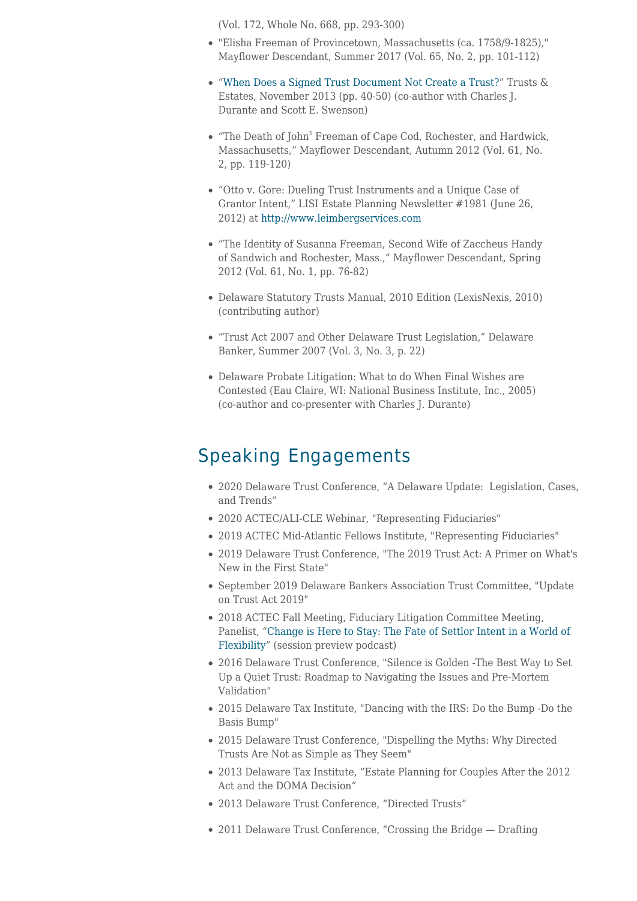(Vol. 172, Whole No. 668, pp. 293-300)

- "Elisha Freeman of Provincetown, Massachusetts (ca. 1758/9-1825)," Mayflower Descendant, Summer 2017 (Vol. 65, No. 2, pp. 101-112)
- "[When Does a Signed Trust Document Not Create a Trust?"](https://www.connollygallagher.com/wp-content/uploads/2014/01/Weinig-1.pdf) Trusts & Estates, November 2013 (pp. 40-50) (co-author with Charles J. Durante and Scott E. Swenson)
- "The Death of John<sup>5</sup> Freeman of Cape Cod, Rochester, and Hardwick, Massachusetts," Mayflower Descendant, Autumn 2012 (Vol. 61, No. 2, pp. 119-120)
- "Otto v. Gore: Dueling Trust Instruments and a Unique Case of Grantor Intent," LISI Estate Planning Newsletter #1981 (June 26, 2012) at [http://www.leimbergservices.com](http://www.leimbergservices.com/)
- "The Identity of Susanna Freeman, Second Wife of Zaccheus Handy of Sandwich and Rochester, Mass.," Mayflower Descendant, Spring 2012 (Vol. 61, No. 1, pp. 76-82)
- Delaware Statutory Trusts Manual, 2010 Edition (LexisNexis, 2010) (contributing author)
- "Trust Act 2007 and Other Delaware Trust Legislation," Delaware Banker, Summer 2007 (Vol. 3, No. 3, p. 22)
- Delaware Probate Litigation: What to do When Final Wishes are Contested (Eau Claire, WI: National Business Institute, Inc., 2005) (co-author and co-presenter with Charles J. Durante)

## Speaking Engagements

- 2020 Delaware Trust Conference, "A Delaware Update: Legislation, Cases, and Trends"
- 2020 ACTEC/ALI-CLE Webinar, "Representing Fiduciaries"
- 2019 ACTEC Mid-Atlantic Fellows Institute, "Representing Fiduciaries"
- 2019 Delaware Trust Conference, "The 2019 Trust Act: A Primer on What's New in the First State"
- September 2019 Delaware Bankers Association Trust Committee, "Update on Trust Act 2019"
- 2018 ACTEC Fall Meeting, Fiduciary Litigation Committee Meeting, Panelist, "[Change is Here to Stay: The Fate of Settlor Intent in a World of](https://actecfoundation.org/podcasts/fate-of-trust-settlor-intent-irrevocable-trust/?utm_source=Informz&utm_medium=website&utm_campaign=Model-Rules-of-Professional-Conduct) [Flexibility](https://actecfoundation.org/podcasts/fate-of-trust-settlor-intent-irrevocable-trust/?utm_source=Informz&utm_medium=website&utm_campaign=Model-Rules-of-Professional-Conduct)" (session preview podcast)
- 2016 Delaware Trust Conference, "Silence is Golden -The Best Way to Set Up a Quiet Trust: Roadmap to Navigating the Issues and Pre-Mortem Validation"
- 2015 Delaware Tax Institute, "Dancing with the IRS: Do the Bump -Do the Basis Bump"
- 2015 Delaware Trust Conference, "Dispelling the Myths: Why Directed Trusts Are Not as Simple as They Seem"
- 2013 Delaware Tax Institute, "Estate Planning for Couples After the 2012 Act and the DOMA Decision"
- 2013 Delaware Trust Conference, "Directed Trusts"
- 2011 Delaware Trust Conference, "Crossing the Bridge Drafting